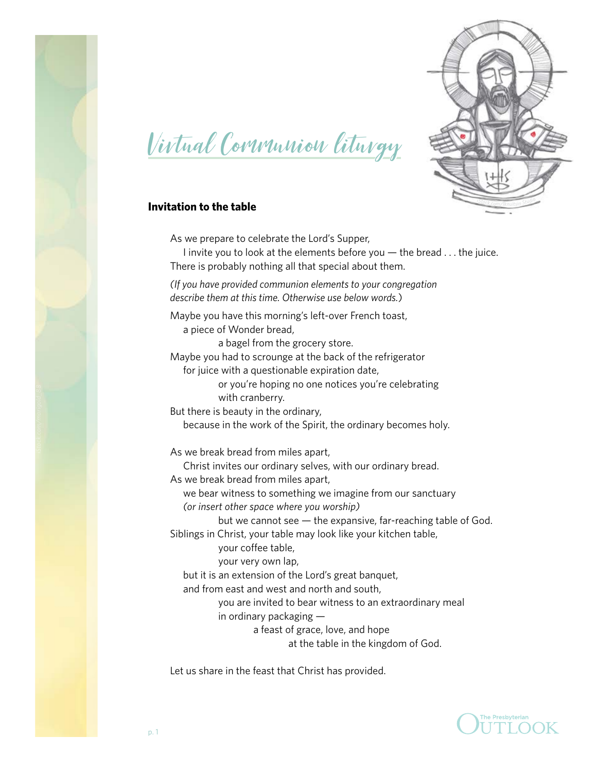



# Virtual Communion liturgy

## **Invitation to the table**

As we prepare to celebrate the Lord's Supper, I invite you to look at the elements before you — the bread . . . the juice. There is probably nothing all that special about them.

*(If you have provided communion elements to your congregation describe them at this time. Otherwise use below words.*)

Maybe you have this morning's left-over French toast, a piece of Wonder bread,

a bagel from the grocery store.

Maybe you had to scrounge at the back of the refrigerator for juice with a questionable expiration date,

> or you're hoping no one notices you're celebrating with cranberry.

But there is beauty in the ordinary, because in the work of the Spirit, the ordinary becomes holy.

As we break bread from miles apart,

Christ invites our ordinary selves, with our ordinary bread.

As we break bread from miles apart,

we bear witness to something we imagine from our sanctuary

*(or insert other space where you worship)*

but we cannot see — the expansive, far-reaching table of God.

Siblings in Christ, your table may look like your kitchen table,

your coffee table,

your very own lap,

but it is an extension of the Lord's great banquet,

and from east and west and north and south,

you are invited to bear witness to an extraordinary meal

in ordinary packaging —

a feast of grace, love, and hope

at the table in the kingdom of God.

Let us share in the feast that Christ has provided.

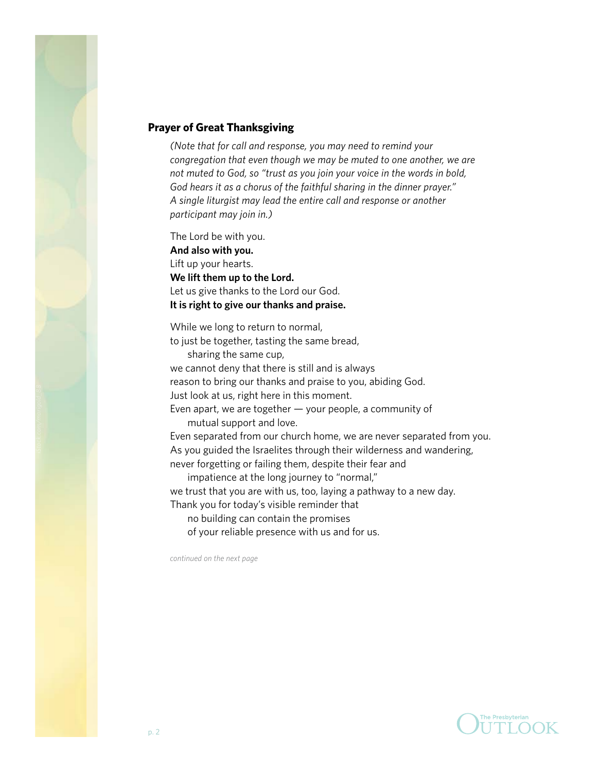

#### **Prayer of Great Thanksgiving**

*(Note that for call and response, you may need to remind your congregation that even though we may be muted to one another, we are not muted to God, so "trust as you join your voice in the words in bold, God hears it as a chorus of the faithful sharing in the dinner prayer." A single liturgist may lead the entire call and response or another participant may join in.)*

The Lord be with you. **And also with you.** Lift up your hearts. **We lift them up to the Lord.** Let us give thanks to the Lord our God. **It is right to give our thanks and praise.** 

While we long to return to normal, to just be together, tasting the same bread, sharing the same cup,

we cannot deny that there is still and is always reason to bring our thanks and praise to you, abiding God.

Just look at us, right here in this moment.

Even apart, we are together — your people, a community of mutual support and love.

Even separated from our church home, we are never separated from you. As you guided the Israelites through their wilderness and wandering, never forgetting or failing them, despite their fear and

impatience at the long journey to "normal,"

we trust that you are with us, too, laying a pathway to a new day.

Thank you for today's visible reminder that

no building can contain the promises

of your reliable presence with us and for us.

*continued on the next page*

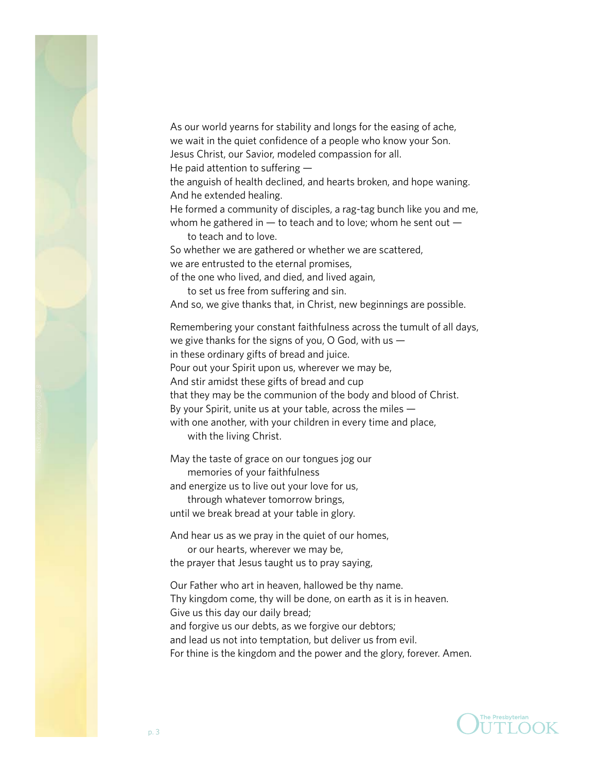

As our world yearns for stability and longs for the easing of ache, we wait in the quiet confidence of a people who know your Son. Jesus Christ, our Savior, modeled compassion for all. He paid attention to suffering —

the anguish of health declined, and hearts broken, and hope waning. And he extended healing.

He formed a community of disciples, a rag-tag bunch like you and me, whom he gathered in  $-$  to teach and to love; whom he sent out  $-$ 

to teach and to love.

So whether we are gathered or whether we are scattered, we are entrusted to the eternal promises,

of the one who lived, and died, and lived again,

to set us free from suffering and sin.

And so, we give thanks that, in Christ, new beginnings are possible.

Remembering your constant faithfulness across the tumult of all days, we give thanks for the signs of you, O God, with us in these ordinary gifts of bread and juice. Pour out your Spirit upon us, wherever we may be, And stir amidst these gifts of bread and cup that they may be the communion of the body and blood of Christ. By your Spirit, unite us at your table, across the miles with one another, with your children in every time and place,

with the living Christ.

May the taste of grace on our tongues jog our

memories of your faithfulness

and energize us to live out your love for us,

through whatever tomorrow brings,

until we break bread at your table in glory.

And hear us as we pray in the quiet of our homes, or our hearts, wherever we may be, the prayer that Jesus taught us to pray saying,

Our Father who art in heaven, hallowed be thy name. Thy kingdom come, thy will be done, on earth as it is in heaven. Give us this day our daily bread; and forgive us our debts, as we forgive our debtors; and lead us not into temptation, but deliver us from evil. For thine is the kingdom and the power and the glory, forever. Amen.